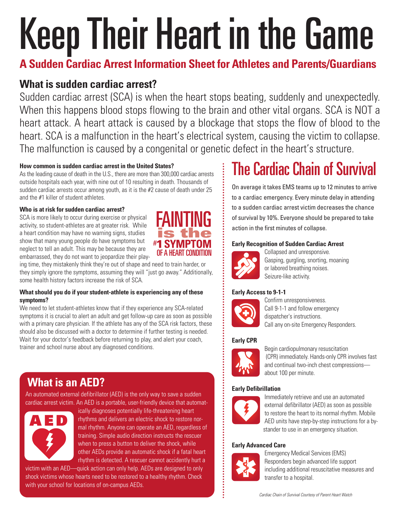# KeepTheir Heart in the Game

**A Sudden Cardiac Arrest Information Sheet for Athletes and Parents/Guardians**

## **What is sudden cardiac arrest?**

Sudden cardiac arrest (SCA) is when the heart stops beating, suddenly and unexpectedly. When this happens blood stops flowing to the brain and other vital organs. SCA is NOT a heart attack. A heart attack is caused by a blockage that stops the flow of blood to the heart. SCA is a malfunction in the heart's electrical system, causing the victim to collapse. The malfunction is caused by a congenital or genetic defect in the heart's structure.

#### **How common is sudden cardiac arrest in the United States?**

Asthe leading cause of death in the U.S., there are more than 300,000 cardiac arrests outside hospitals each year, with nine out of 10 resulting in death. Thousands of sudden cardiac arrests occur among youth, as it is the #2 cause of death under 25 and the #1 killer of student athletes.

#### **Who is at risk for sudden cardiac arrest?**

SCA is more likely to occur during exercise or physical activity, so student-athletes are at greater risk. While a heart condition may have no warning signs, studies show that many young people do have symptoms but neglect to tell an adult. This may be because they are embarrassed, they do not want to jeopardize their play-



ing time, they mistakenly think they're out of shape and need to train harder, or they simply ignore the symptoms, assuming they will "just go away." Additionally, some health history factors increase the risk of SCA.

#### **What should you do if your student-athlete is experiencing any of these symptoms?**

We need to let student-athletes know that if they experience any SCA-related symptoms it is crucial to alert an adult and get follow-up care as soon as possible with a primary care physician. If the athlete has any of the SCA risk factors, these should also be discussed with a doctor to determine if further testing is needed. Wait for your doctor's feedback before returning to play, and alert your coach, trainer and school nurse about any diagnosed conditions.

## **What is an AED?**

An automated external defibrillator (AED) is the only way to save a sudden cardiac arrest victim. An AED is a portable, user-friendly device that automat-



ically diagnoses potentially life-threatening heart rhythms and delivers an electric shock to restore normal rhythm. Anyone can operate an AED, regardless of training. Simple audio direction instructs the rescuer when to press a button to deliver the shock, while other AEDs provide an automatic shock if a fatal heart rhythm is detected. A rescuer cannot accidently hurt a

victim with an AED—quick action can only help. AEDs are designed to only shock victims whose hearts need to be restored to a healthy rhythm. Check with your school for locations of on-campus AEDs.

# **The Cardiac Chain of Survival**

On average it takes EMS teams up to 12 minutes to arrive to a cardiac emergency. Every minute delay in attending to a sudden cardiac arrest victim decreases the chance of survival by 10%. Everyone should be prepared to take action in the first minutes of collapse.

#### **Early Recognition of Sudden Cardiac Arrest**



Collapsed and unresponsive. Gasping, gurgling, snorting, moaning or labored breathing noises. Seizure-like activity.

#### **Early Access to 9-1-1**



Confirm unresponsiveness. Call 9-1-1 and follow emergency dispatcher's instructions. Call any on-site Emergency Responders.

#### **Early CPR**



Begin cardiopulmonary resuscitation (CPR) immediately. Hands-only CPR involves fast and continual two-inch chest compressions about 100 per minute.

#### **Early Defibrillation**



Immediately retrieve and use an automated external defibrillator (AED) as soon as possible to restore the heart to its normal rhythm. Mobile AED units have step-by-step instructions for a bystander to use in an emergency situation.

#### **Early Advanced Care**



Emergency Medical Services (EMS) Responders begin advanced life support including additional resuscitative measures and transfer to a hospital.